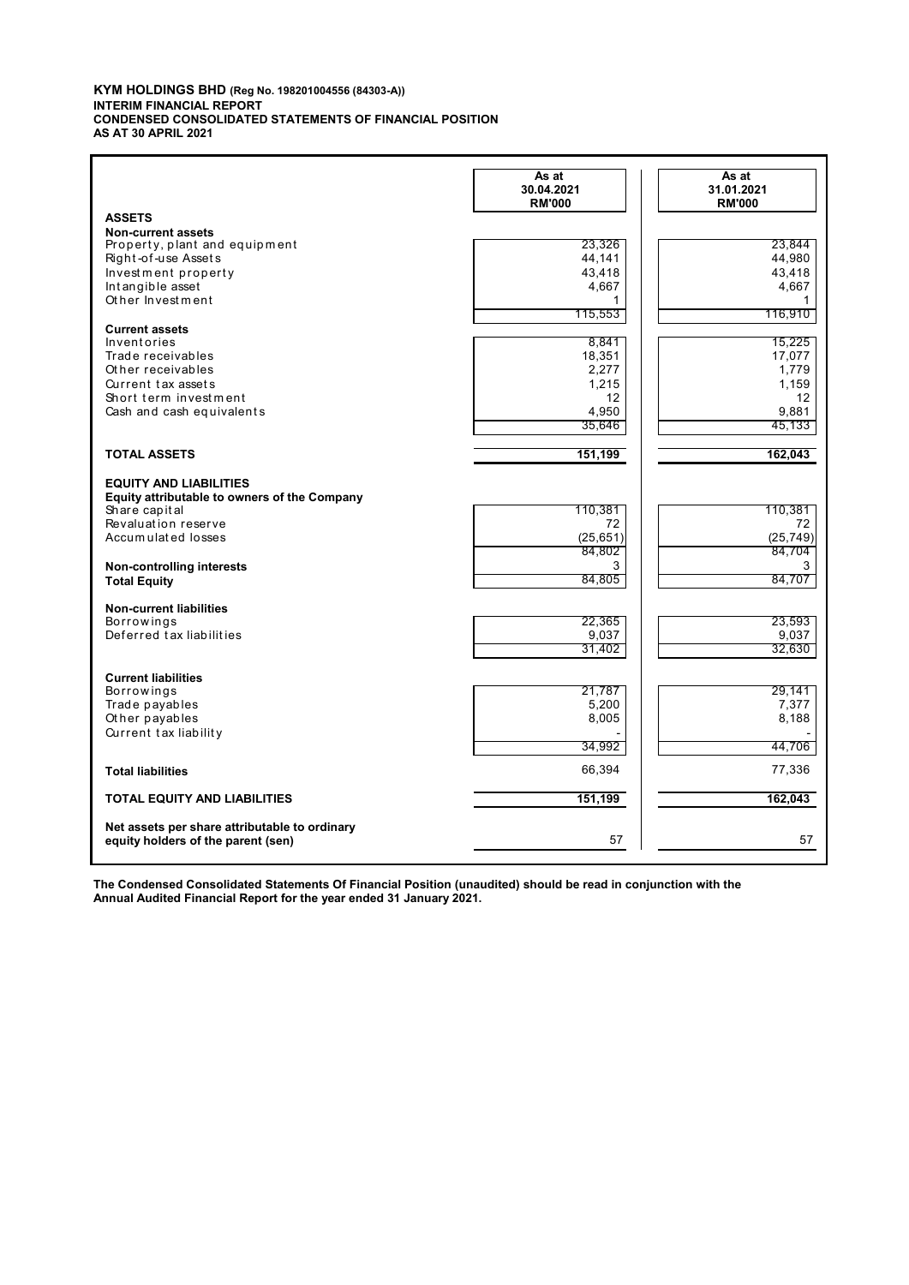#### **KYM HOLDINGS BHD (Reg No. 198201004556 (84303-A)) INTERIM FINANCIAL REPORT CONDENSED CONSOLIDATED STATEMENTS OF FINANCIAL POSITION AS AT 30 APRIL 2021**

|                                                                                     | As at<br>30.04.2021<br><b>RM'000</b> | As at<br>31.01.2021<br><b>RM'000</b> |
|-------------------------------------------------------------------------------------|--------------------------------------|--------------------------------------|
| <b>ASSETS</b>                                                                       |                                      |                                      |
| <b>Non-current assets</b>                                                           |                                      |                                      |
| Property, plant and equipment<br>Right-of-use Assets                                | 23,326<br>44,141                     | 23,844<br>44,980                     |
| Investment property                                                                 | 43,418                               | 43,418                               |
| Intangible asset                                                                    | 4,667                                | 4,667                                |
| Other Investment                                                                    | 1                                    | 1                                    |
|                                                                                     | 115,553                              | 116,910                              |
| <b>Current assets</b>                                                               |                                      |                                      |
| Inventories                                                                         | 8,841                                | 15,225                               |
| Trade receivables                                                                   | 18,351                               | 17,077                               |
| Other receivables                                                                   | 2,277                                | 1,779                                |
| Current tax assets                                                                  | 1,215                                | 1,159                                |
| Short term investment<br>Cash and cash equivalents                                  | 12<br>4.950                          | 12<br>9.881                          |
|                                                                                     | 35,646                               | 45,133                               |
|                                                                                     |                                      |                                      |
| <b>TOTAL ASSETS</b>                                                                 | 151,199                              | 162,043                              |
| <b>EQUITY AND LIABILITIES</b>                                                       |                                      |                                      |
| Equity attributable to owners of the Company                                        |                                      |                                      |
| Share capital                                                                       | 110,381                              | 110,381                              |
| Revaluation reserve                                                                 | 72                                   | 72                                   |
| Accumulated losses                                                                  | (25, 651)                            | (25, 749)                            |
|                                                                                     | 84,802                               | 84,704                               |
| Non-controlling interests                                                           | 3                                    | 3                                    |
| <b>Total Equity</b>                                                                 | 84,805                               | 84,707                               |
| <b>Non-current liabilities</b>                                                      |                                      |                                      |
| <b>Borrowings</b>                                                                   | 22,365                               | 23,593                               |
| Deferred tax liabilities                                                            | 9,037                                | 9,037                                |
|                                                                                     | 31,402                               | 32,630                               |
| <b>Current liabilities</b>                                                          |                                      |                                      |
| Borrowings                                                                          | 21,787                               | 29,141                               |
| Trade payables                                                                      | 5,200                                | 7,377                                |
| Other payables                                                                      | 8,005                                | 8,188                                |
| Current tax liability                                                               |                                      |                                      |
|                                                                                     | 34,992                               | 44,706                               |
| <b>Total liabilities</b>                                                            | 66,394                               | 77,336                               |
| <b>TOTAL EQUITY AND LIABILITIES</b>                                                 | 151,199                              | 162,043                              |
|                                                                                     |                                      |                                      |
| Net assets per share attributable to ordinary<br>equity holders of the parent (sen) | 57                                   | 57                                   |
|                                                                                     |                                      |                                      |

**The Condensed Consolidated Statements Of Financial Position (unaudited) should be read in conjunction with the Annual Audited Financial Report for the year ended 31 January 2021.**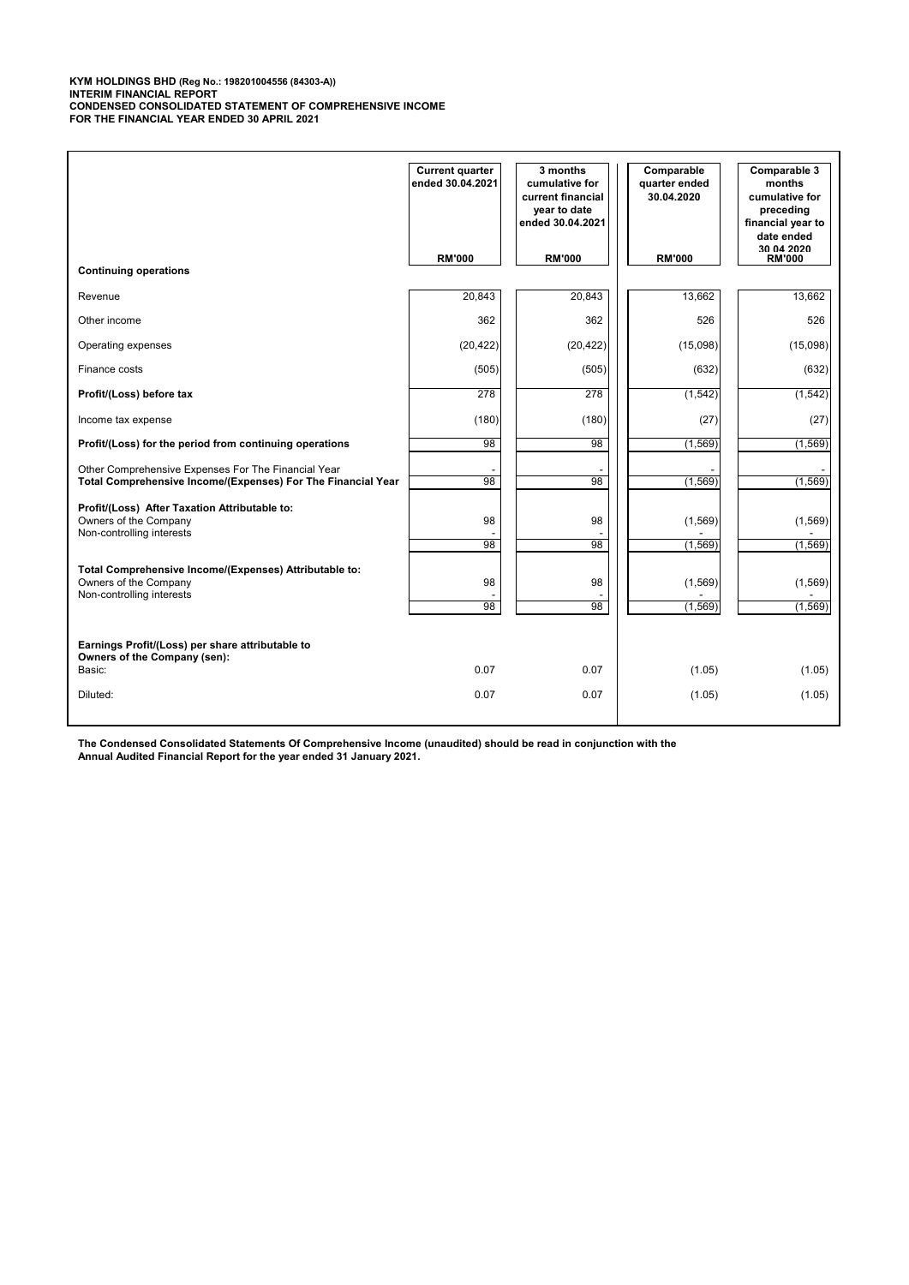**KYM HOLDINGS BHD (Reg No.: 198201004556 (84303-A)) INTERIM FINANCIAL REPORT CONDENSED CONSOLIDATED STATEMENT OF COMPREHENSIVE INCOME FOR THE FINANCIAL YEAR ENDED 30 APRIL 2021**

|                                                                                                                     | <b>Current quarter</b><br>ended 30.04.2021 | 3 months<br>cumulative for<br>current financial<br>year to date<br>ended 30.04.2021 | Comparable<br>quarter ended<br>30.04.2020 | Comparable 3<br>months<br>cumulative for<br>preceding<br>financial year to<br>date ended |
|---------------------------------------------------------------------------------------------------------------------|--------------------------------------------|-------------------------------------------------------------------------------------|-------------------------------------------|------------------------------------------------------------------------------------------|
| <b>Continuing operations</b>                                                                                        | <b>RM'000</b>                              | <b>RM'000</b>                                                                       | <b>RM'000</b>                             | 30.04.2020<br><b>RM'000</b>                                                              |
| Revenue                                                                                                             | 20,843                                     | 20,843                                                                              | 13,662                                    | 13,662                                                                                   |
| Other income                                                                                                        | 362                                        | 362                                                                                 | 526                                       | 526                                                                                      |
| Operating expenses                                                                                                  | (20, 422)                                  | (20, 422)                                                                           | (15,098)                                  | (15,098)                                                                                 |
| Finance costs                                                                                                       | (505)                                      | (505)                                                                               | (632)                                     | (632)                                                                                    |
| Profit/(Loss) before tax                                                                                            | 278                                        | 278                                                                                 | (1, 542)                                  | (1, 542)                                                                                 |
| Income tax expense                                                                                                  | (180)                                      | (180)                                                                               | (27)                                      | (27)                                                                                     |
| Profit/(Loss) for the period from continuing operations                                                             | 98                                         | 98                                                                                  | (1, 569)                                  | (1, 569)                                                                                 |
| Other Comprehensive Expenses For The Financial Year<br>Total Comprehensive Income/(Expenses) For The Financial Year | 98                                         | 98                                                                                  | (1, 569)                                  | (1, 569)                                                                                 |
| Profit/(Loss) After Taxation Attributable to:<br>Owners of the Company<br>Non-controlling interests                 | 98<br>98                                   | 98<br>98                                                                            | (1, 569)<br>(1,569)                       | (1, 569)<br>(1, 569)                                                                     |
| Total Comprehensive Income/(Expenses) Attributable to:<br>Owners of the Company<br>Non-controlling interests        | 98<br>98                                   | 98<br>98                                                                            | (1,569)<br>(1, 569)                       | (1, 569)<br>(1, 569)                                                                     |
| Earnings Profit/(Loss) per share attributable to<br>Owners of the Company (sen):                                    |                                            |                                                                                     |                                           |                                                                                          |
| Basic:                                                                                                              | 0.07                                       | 0.07                                                                                | (1.05)                                    | (1.05)                                                                                   |
| Diluted:                                                                                                            | 0.07                                       | 0.07                                                                                | (1.05)                                    | (1.05)                                                                                   |

**The Condensed Consolidated Statements Of Comprehensive Income (unaudited) should be read in conjunction with the Annual Audited Financial Report for the year ended 31 January 2021.**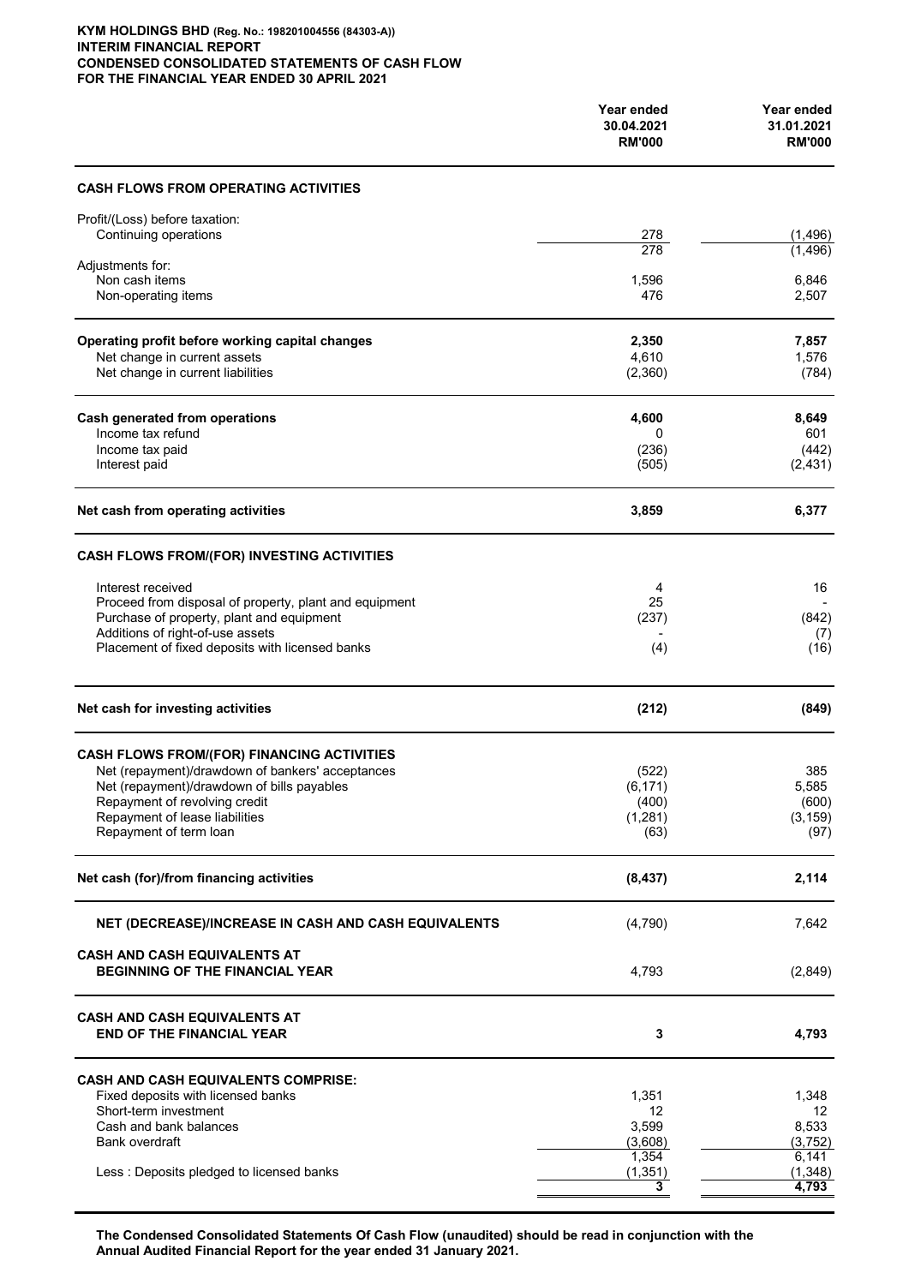#### **KYM HOLDINGS BHD (Reg. No.: 198201004556 (84303-A)) INTERIM FINANCIAL REPORT CONDENSED CONSOLIDATED STATEMENTS OF CASH FLOW FOR THE FINANCIAL YEAR ENDED 30 APRIL 2021**

|                                                                               | Year ended<br>30.04.2021<br><b>RM'000</b> | Year ended<br>31.01.2021<br><b>RM'000</b> |
|-------------------------------------------------------------------------------|-------------------------------------------|-------------------------------------------|
| <b>CASH FLOWS FROM OPERATING ACTIVITIES</b>                                   |                                           |                                           |
| Profit/(Loss) before taxation:                                                |                                           |                                           |
| Continuing operations                                                         | $\frac{278}{278}$                         | (1, 496)<br>(1.496)                       |
| Adjustments for:                                                              |                                           |                                           |
| Non cash items<br>Non-operating items                                         | 1,596<br>476                              | 6,846<br>2,507                            |
|                                                                               |                                           |                                           |
| Operating profit before working capital changes                               | 2,350                                     | 7,857                                     |
| Net change in current assets                                                  | 4,610                                     | 1,576                                     |
| Net change in current liabilities                                             | (2,360)                                   | (784)                                     |
|                                                                               |                                           |                                           |
| <b>Cash generated from operations</b><br>Income tax refund                    | 4,600<br>0                                | 8,649<br>601                              |
| Income tax paid                                                               | (236)                                     | (442)                                     |
| Interest paid                                                                 | (505)                                     | (2, 431)                                  |
| Net cash from operating activities                                            | 3,859                                     | 6,377                                     |
| CASH FLOWS FROM/(FOR) INVESTING ACTIVITIES                                    |                                           |                                           |
| Interest received                                                             | 4                                         | 16                                        |
| Proceed from disposal of property, plant and equipment                        | 25                                        |                                           |
| Purchase of property, plant and equipment<br>Additions of right-of-use assets | (237)                                     | (842)                                     |
| Placement of fixed deposits with licensed banks                               | (4)                                       | (7)<br>(16)                               |
|                                                                               |                                           |                                           |
| Net cash for investing activities                                             | (212)                                     | (849)                                     |
| <b>CASH FLOWS FROM/(FOR) FINANCING ACTIVITIES</b>                             |                                           |                                           |
| Net (repayment)/drawdown of bankers' acceptances                              | (522)                                     | 385                                       |
| Net (repayment)/drawdown of bills payables                                    | (6, 171)                                  | 5,585                                     |
| Repayment of revolving credit                                                 | (400)                                     | (600)                                     |
| Repayment of lease liabilities<br>Repayment of term loan                      | (1, 281)                                  | (3, 159)                                  |
|                                                                               | (63)                                      | (97)                                      |
| Net cash (for)/from financing activities                                      | (8, 437)                                  | 2,114                                     |
| NET (DECREASE)/INCREASE IN CASH AND CASH EQUIVALENTS                          | (4,790)                                   | 7,642                                     |
| <b>CASH AND CASH EQUIVALENTS AT</b><br><b>BEGINNING OF THE FINANCIAL YEAR</b> | 4,793                                     | (2,849)                                   |
| CASH AND CASH EQUIVALENTS AT<br><b>END OF THE FINANCIAL YEAR</b>              | 3                                         | 4,793                                     |
| <b>CASH AND CASH EQUIVALENTS COMPRISE:</b>                                    |                                           |                                           |
| Fixed deposits with licensed banks                                            | 1,351                                     | 1,348                                     |
| Short-term investment                                                         | 12                                        | 12                                        |
| Cash and bank balances<br>Bank overdraft                                      | 3,599<br>(3,608)                          | 8,533<br>(3,752)                          |
|                                                                               | 1,354                                     | 6,141                                     |
| Less: Deposits pledged to licensed banks                                      | (1, 351)                                  | (1, 348)                                  |
|                                                                               |                                           | 4,793                                     |

**The Condensed Consolidated Statements Of Cash Flow (unaudited) should be read in conjunction with the Annual Audited Financial Report for the year ended 31 January 2021.**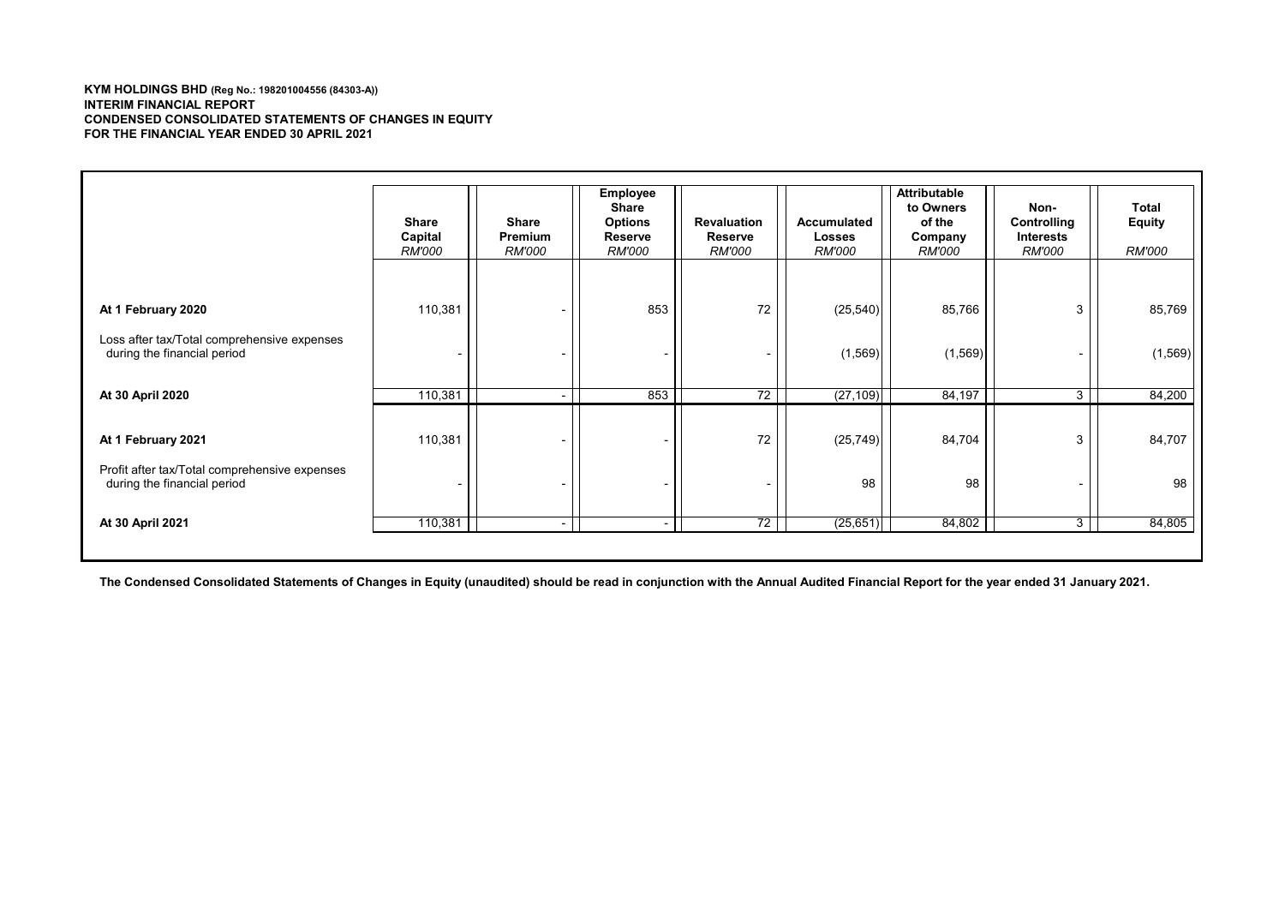#### **KYM HOLDINGS BHD (Reg No.: 198201004556 (84303-A)) INTERIM FINANCIAL REPORT CONDENSED CONSOLIDATED STATEMENTS OF CHANGES IN EQUITY FOR THE FINANCIAL YEAR ENDED 30 APRIL 2021**

|                                                                                                    | Share<br>Capital<br><b>RM'000</b> | Share<br><b>Premium</b><br><i>RM'000</i> | <b>Employee</b><br>Share<br><b>Options</b><br>Reserve<br><i>RM'000</i> | <b>Revaluation</b><br>Reserve<br><b>RM'000</b> | <b>Accumulated</b><br><b>Losses</b><br><i>RM'000</i> | <b>Attributable</b><br>to Owners<br>of the<br>Company<br><i>RM'000</i> | Non-<br>Controlling<br><b>Interests</b><br><i>RM'000</i> | Total<br><b>Equity</b><br><b>RM'000</b> |
|----------------------------------------------------------------------------------------------------|-----------------------------------|------------------------------------------|------------------------------------------------------------------------|------------------------------------------------|------------------------------------------------------|------------------------------------------------------------------------|----------------------------------------------------------|-----------------------------------------|
|                                                                                                    |                                   |                                          |                                                                        |                                                |                                                      |                                                                        |                                                          |                                         |
| At 1 February 2020                                                                                 | 110,381                           | $\overline{\phantom{a}}$                 | 853                                                                    | 72                                             | (25, 540)                                            | 85,766                                                                 | 3                                                        | 85,769                                  |
| Loss after tax/Total comprehensive expenses<br>during the financial period                         |                                   |                                          |                                                                        |                                                | (1, 569)                                             | (1, 569)                                                               |                                                          | (1, 569)                                |
| At 30 April 2020                                                                                   | 110,381                           | $\sim$                                   | 853                                                                    | 72                                             | (27, 109)                                            | 84,197                                                                 | 3                                                        | 84,200                                  |
| At 1 February 2021<br>Profit after tax/Total comprehensive expenses<br>during the financial period | 110,381                           |                                          |                                                                        | 72                                             | (25, 749)<br>98                                      | 84,704<br>98                                                           | 3                                                        | 84,707<br>98                            |
| At 30 April 2021                                                                                   | 110,381                           | $\overline{\phantom{a}}$                 |                                                                        | 72                                             | (25, 651)                                            | 84,802                                                                 | $\overline{3}$                                           | 84,805                                  |

**The Condensed Consolidated Statements of Changes in Equity (unaudited) should be read in conjunction with the Annual Audited Financial Report for the year ended 31 January 2021.**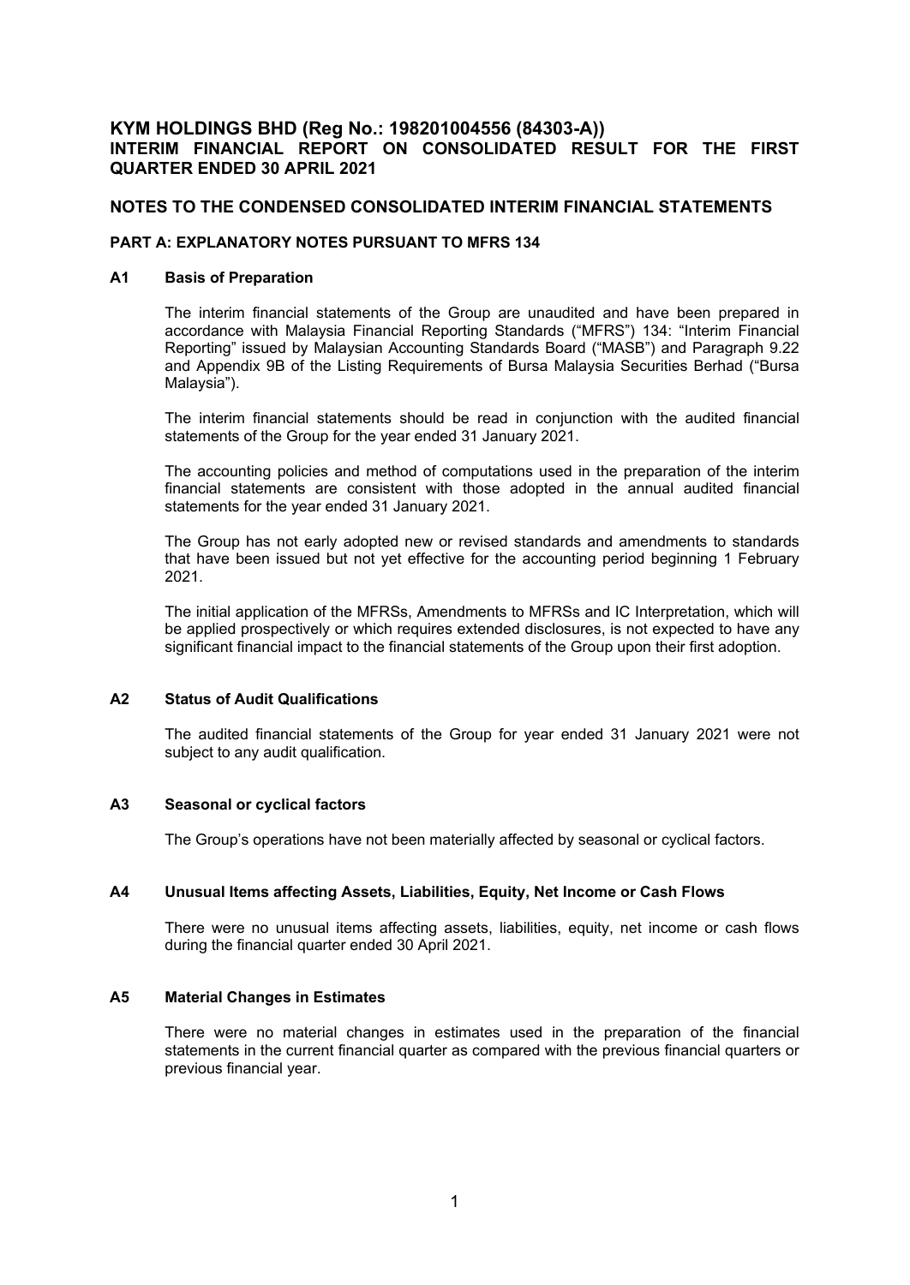# **KYM HOLDINGS BHD (Reg No.: 198201004556 (84303-A)) INTERIM FINANCIAL REPORT ON CONSOLIDATED RESULT FOR THE FIRST QUARTER ENDED 30 APRIL 2021**

## **NOTES TO THE CONDENSED CONSOLIDATED INTERIM FINANCIAL STATEMENTS**

# **PART A: EXPLANATORY NOTES PURSUANT TO MFRS 134**

#### **A1 Basis of Preparation**

The interim financial statements of the Group are unaudited and have been prepared in accordance with Malaysia Financial Reporting Standards ("MFRS") 134: "Interim Financial Reporting" issued by Malaysian Accounting Standards Board ("MASB") and Paragraph 9.22 and Appendix 9B of the Listing Requirements of Bursa Malaysia Securities Berhad ("Bursa Malaysia").

The interim financial statements should be read in conjunction with the audited financial statements of the Group for the year ended 31 January 2021.

The accounting policies and method of computations used in the preparation of the interim financial statements are consistent with those adopted in the annual audited financial statements for the year ended 31 January 2021.

The Group has not early adopted new or revised standards and amendments to standards that have been issued but not yet effective for the accounting period beginning 1 February 2021.

The initial application of the MFRSs, Amendments to MFRSs and IC Interpretation, which will be applied prospectively or which requires extended disclosures, is not expected to have any significant financial impact to the financial statements of the Group upon their first adoption.

#### **A2 Status of Audit Qualifications**

The audited financial statements of the Group for year ended 31 January 2021 were not subject to any audit qualification.

#### **A3 Seasonal or cyclical factors**

The Group's operations have not been materially affected by seasonal or cyclical factors.

## **A4 Unusual Items affecting Assets, Liabilities, Equity, Net Income or Cash Flows**

There were no unusual items affecting assets, liabilities, equity, net income or cash flows during the financial quarter ended 30 April 2021.

#### **A5 Material Changes in Estimates**

There were no material changes in estimates used in the preparation of the financial statements in the current financial quarter as compared with the previous financial quarters or previous financial year.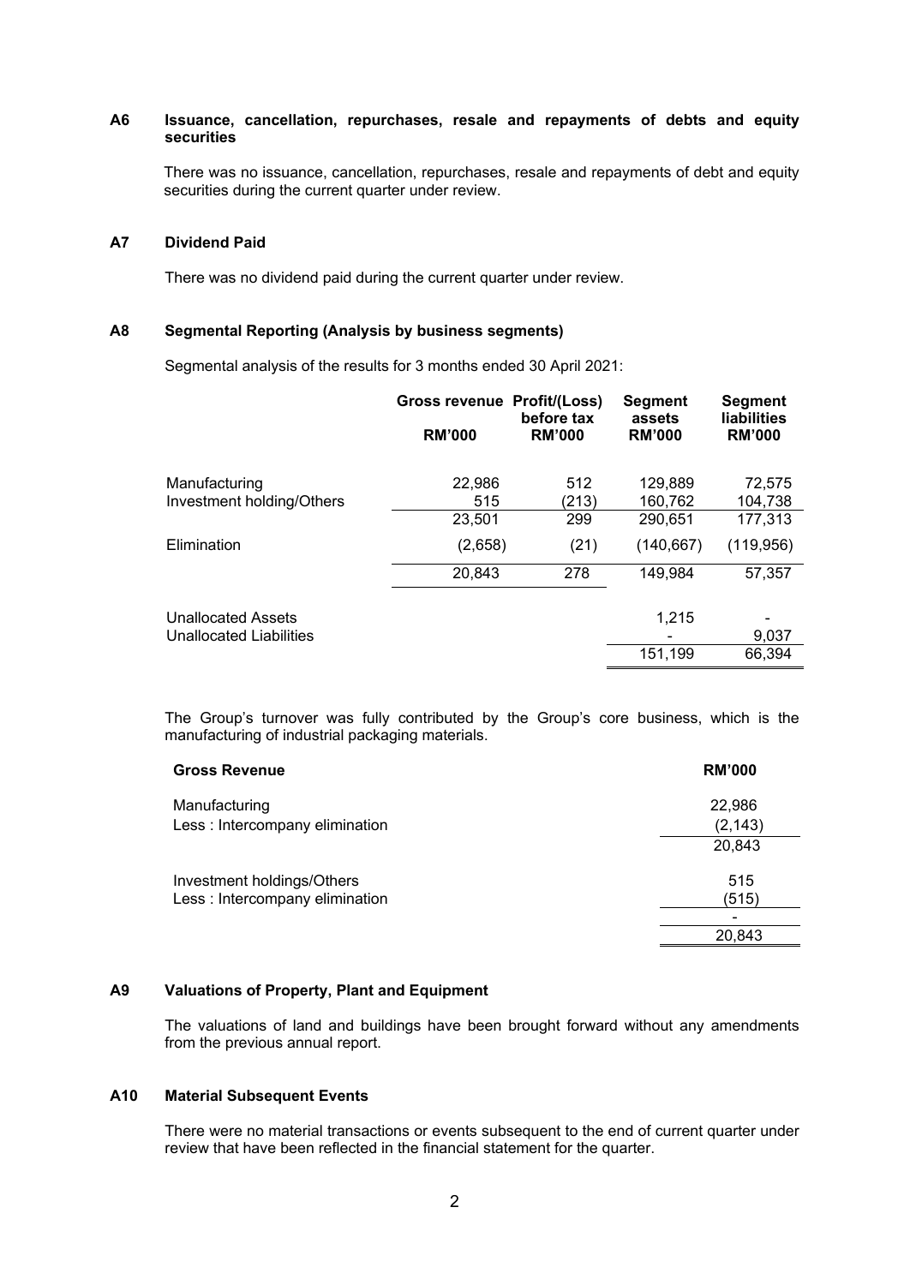## **A6 Issuance, cancellation, repurchases, resale and repayments of debts and equity securities**

There was no issuance, cancellation, repurchases, resale and repayments of debt and equity securities during the current quarter under review.

## **A7 Dividend Paid**

There was no dividend paid during the current quarter under review.

#### **A8 Segmental Reporting (Analysis by business segments)**

Segmental analysis of the results for 3 months ended 30 April 2021:

|                           | Gross revenue Profit/(Loss) | before tax    | <b>Segment</b><br>assets | <b>Segment</b><br><b>liabilities</b> |
|---------------------------|-----------------------------|---------------|--------------------------|--------------------------------------|
|                           | <b>RM'000</b>               | <b>RM'000</b> | <b>RM'000</b>            | <b>RM'000</b>                        |
| Manufacturing             | 22,986                      | 512           | 129,889                  | 72,575                               |
| Investment holding/Others | 515                         | (213)         | 160.762                  | 104,738                              |
|                           | 23,501                      | 299           | 290,651                  | 177,313                              |
| Elimination               | (2,658)                     | (21)          | (140, 667)               | (119, 956)                           |
|                           | 20,843                      | 278           | 149,984                  | 57,357                               |
| <b>Unallocated Assets</b> |                             |               | 1,215                    |                                      |
| Unallocated Liabilities   |                             |               |                          | 9,037                                |
|                           |                             |               | 151,199                  | 66,394                               |

The Group's turnover was fully contributed by the Group's core business, which is the manufacturing of industrial packaging materials.

| <b>Gross Revenue</b>            | <b>RM'000</b>            |
|---------------------------------|--------------------------|
| Manufacturing                   | 22,986                   |
| Less: Intercompany elimination  | (2, 143)                 |
|                                 | 20,843                   |
| Investment holdings/Others      | 515                      |
| Less : Intercompany elimination | (515)                    |
|                                 | $\overline{\phantom{0}}$ |
|                                 | 20,843                   |

#### **A9 Valuations of Property, Plant and Equipment**

The valuations of land and buildings have been brought forward without any amendments from the previous annual report.

# **A10 Material Subsequent Events**

There were no material transactions or events subsequent to the end of current quarter under review that have been reflected in the financial statement for the quarter.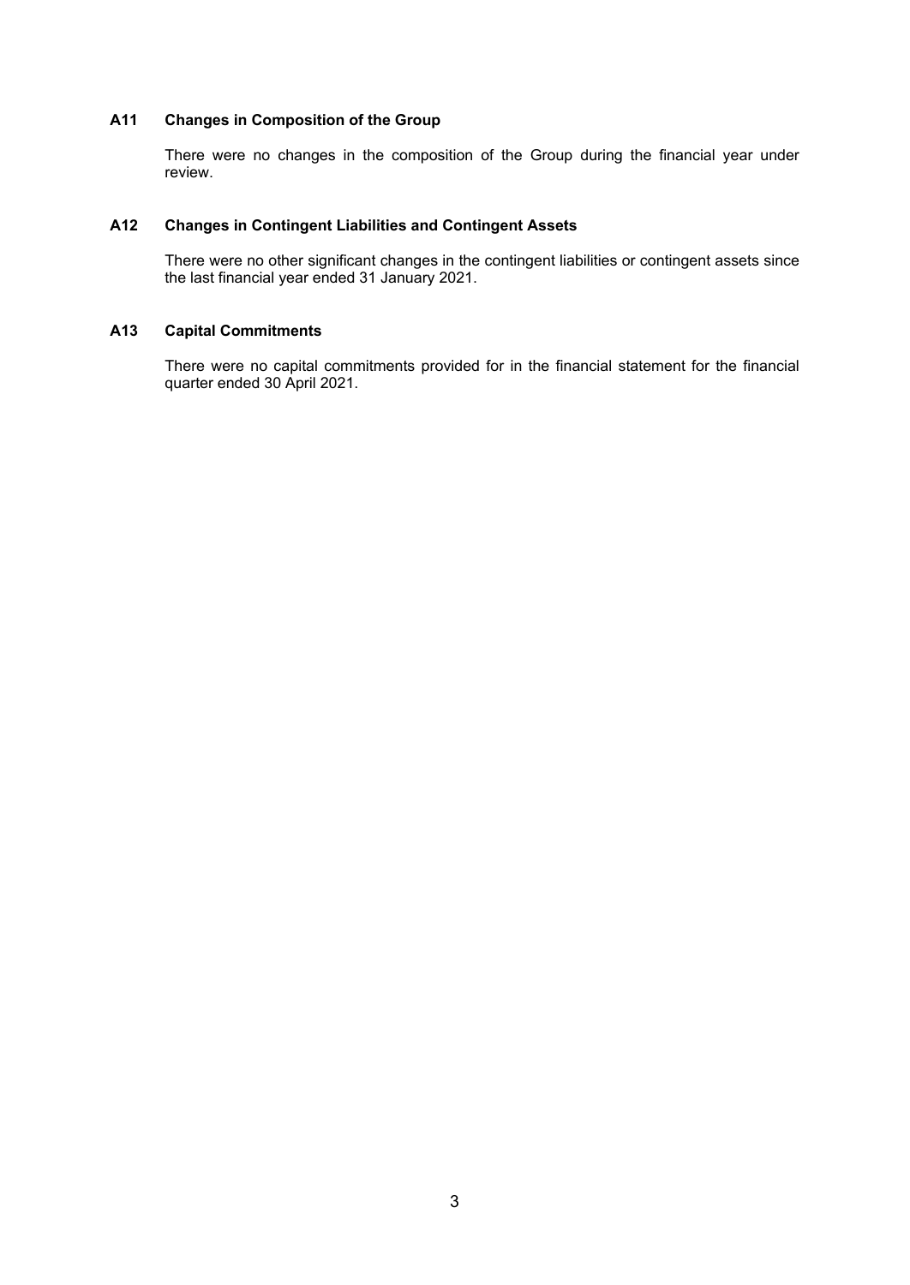## **A11 Changes in Composition of the Group**

There were no changes in the composition of the Group during the financial year under review.

## **A12 Changes in Contingent Liabilities and Contingent Assets**

There were no other significant changes in the contingent liabilities or contingent assets since the last financial year ended 31 January 2021.

## **A13 Capital Commitments**

There were no capital commitments provided for in the financial statement for the financial quarter ended 30 April 2021.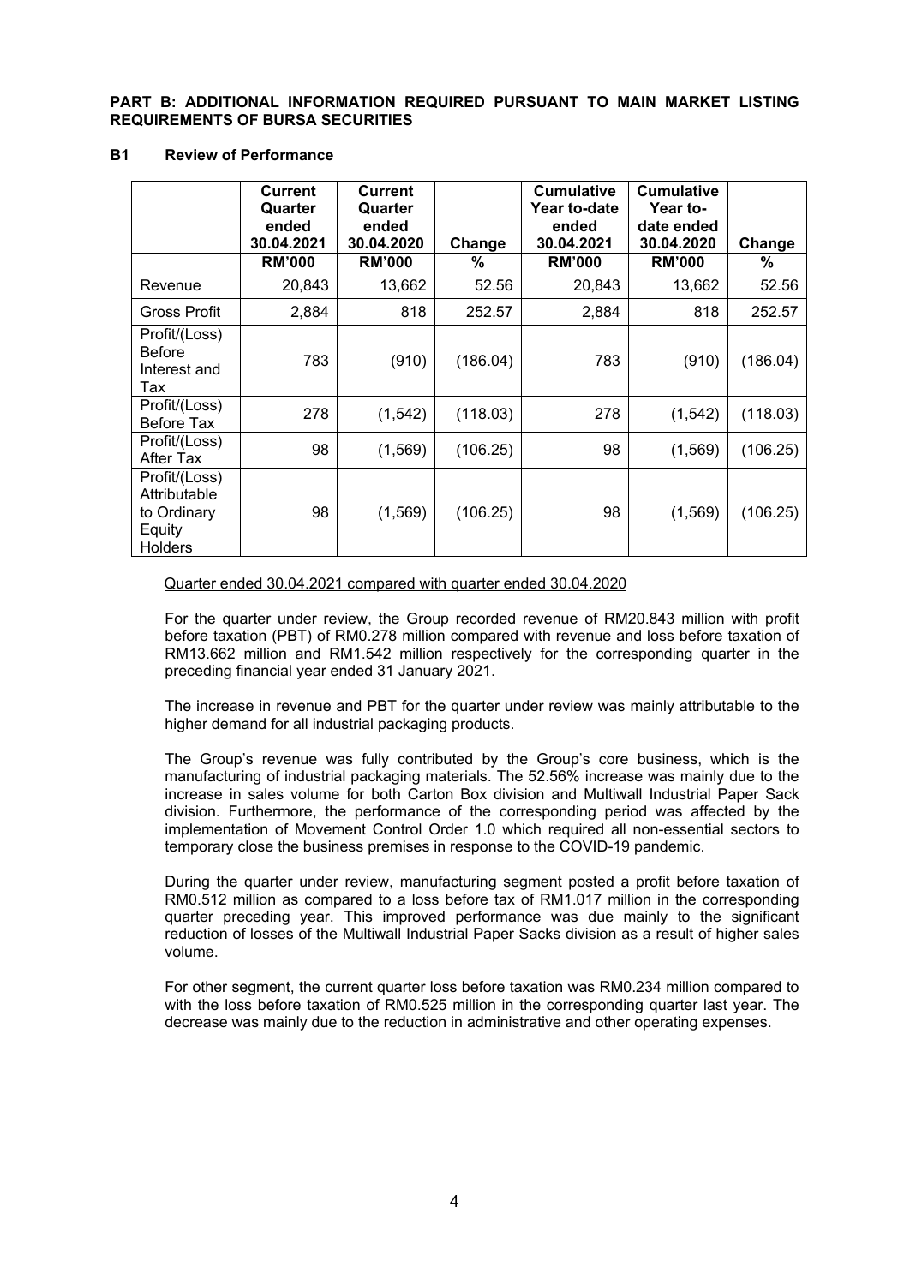**PART B: ADDITIONAL INFORMATION REQUIRED PURSUANT TO MAIN MARKET LISTING REQUIREMENTS OF BURSA SECURITIES**

#### **B1 Review of Performance**

|                                                                   | <b>Current</b><br>Quarter<br>ended<br>30.04.2021 | <b>Current</b><br>Quarter<br>ended<br>30.04.2020 | Change   | <b>Cumulative</b><br>Year to-date<br>ended<br>30.04.2021 | <b>Cumulative</b><br>Year to-<br>date ended<br>30.04.2020 | Change   |
|-------------------------------------------------------------------|--------------------------------------------------|--------------------------------------------------|----------|----------------------------------------------------------|-----------------------------------------------------------|----------|
|                                                                   | <b>RM'000</b>                                    | <b>RM'000</b>                                    | %        | <b>RM'000</b>                                            | <b>RM'000</b>                                             | %        |
| Revenue                                                           | 20,843                                           | 13,662                                           | 52.56    | 20,843                                                   | 13,662                                                    | 52.56    |
| Gross Profit                                                      | 2,884                                            | 818                                              | 252.57   | 2,884                                                    | 818                                                       | 252.57   |
| Profit/(Loss)<br><b>Before</b><br>Interest and<br>Tax             | 783                                              | (910)                                            | (186.04) | 783                                                      | (910)                                                     | (186.04) |
| Profit/(Loss)<br>Before Tax                                       | 278                                              | (1, 542)                                         | (118.03) | 278                                                      | (1, 542)                                                  | (118.03) |
| Profit/(Loss)<br>After Tax                                        | 98                                               | (1, 569)                                         | (106.25) | 98                                                       | (1, 569)                                                  | (106.25) |
| Profit/(Loss)<br>Attributable<br>to Ordinary<br>Equity<br>Holders | 98                                               | (1, 569)                                         | (106.25) | 98                                                       | (1, 569)                                                  | (106.25) |

#### Quarter ended 30.04.2021 compared with quarter ended 30.04.2020

For the quarter under review, the Group recorded revenue of RM20.843 million with profit before taxation (PBT) of RM0.278 million compared with revenue and loss before taxation of RM13.662 million and RM1.542 million respectively for the corresponding quarter in the preceding financial year ended 31 January 2021.

The increase in revenue and PBT for the quarter under review was mainly attributable to the higher demand for all industrial packaging products.

The Group's revenue was fully contributed by the Group's core business, which is the manufacturing of industrial packaging materials. The 52.56% increase was mainly due to the increase in sales volume for both Carton Box division and Multiwall Industrial Paper Sack division. Furthermore, the performance of the corresponding period was affected by the implementation of Movement Control Order 1.0 which required all non-essential sectors to temporary close the business premises in response to the COVID-19 pandemic.

During the quarter under review, manufacturing segment posted a profit before taxation of RM0.512 million as compared to a loss before tax of RM1.017 million in the corresponding quarter preceding year. This improved performance was due mainly to the significant reduction of losses of the Multiwall Industrial Paper Sacks division as a result of higher sales volume.

For other segment, the current quarter loss before taxation was RM0.234 million compared to with the loss before taxation of RM0.525 million in the corresponding quarter last year. The decrease was mainly due to the reduction in administrative and other operating expenses.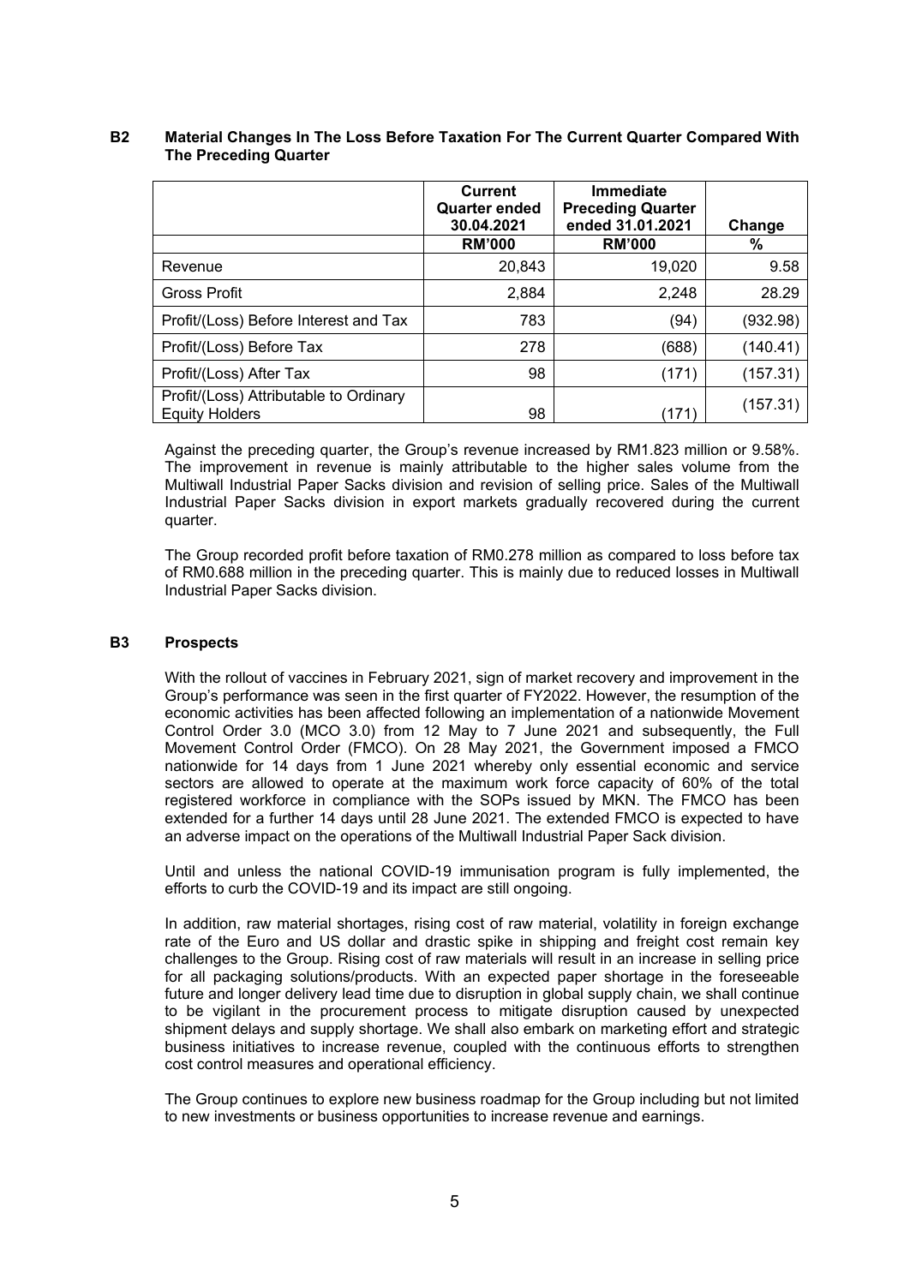|                                                                 | <b>Current</b><br><b>Quarter ended</b><br>30.04.2021 | Immediate<br><b>Preceding Quarter</b><br>ended 31.01.2021 | Change   |
|-----------------------------------------------------------------|------------------------------------------------------|-----------------------------------------------------------|----------|
|                                                                 | <b>RM'000</b>                                        | <b>RM'000</b>                                             | %        |
| Revenue                                                         | 20,843                                               | 19,020                                                    | 9.58     |
| <b>Gross Profit</b>                                             | 2,884                                                | 2,248                                                     | 28.29    |
| Profit/(Loss) Before Interest and Tax                           | 783                                                  | (94)                                                      | (932.98) |
| Profit/(Loss) Before Tax                                        | 278                                                  | (688)                                                     | (140.41) |
| Profit/(Loss) After Tax                                         | 98                                                   | (171)                                                     | (157.31) |
| Profit/(Loss) Attributable to Ordinary<br><b>Equity Holders</b> | 98                                                   | (171)                                                     | (157.31) |

## **B2 Material Changes In The Loss Before Taxation For The Current Quarter Compared With The Preceding Quarter**

Against the preceding quarter, the Group's revenue increased by RM1.823 million or 9.58%. The improvement in revenue is mainly attributable to the higher sales volume from the Multiwall Industrial Paper Sacks division and revision of selling price. Sales of the Multiwall Industrial Paper Sacks division in export markets gradually recovered during the current quarter.

The Group recorded profit before taxation of RM0.278 million as compared to loss before tax of RM0.688 million in the preceding quarter. This is mainly due to reduced losses in Multiwall Industrial Paper Sacks division.

## **B3 Prospects**

With the rollout of vaccines in February 2021, sign of market recovery and improvement in the Group's performance was seen in the first quarter of FY2022. However, the resumption of the economic activities has been affected following an implementation of a nationwide Movement Control Order 3.0 (MCO 3.0) from 12 May to 7 June 2021 and subsequently, the Full Movement Control Order (FMCO). On 28 May 2021, the Government imposed a FMCO nationwide for 14 days from 1 June 2021 whereby only essential economic and service sectors are allowed to operate at the maximum work force capacity of 60% of the total registered workforce in compliance with the SOPs issued by MKN. The FMCO has been extended for a further 14 days until 28 June 2021. The extended FMCO is expected to have an adverse impact on the operations of the Multiwall Industrial Paper Sack division.

Until and unless the national COVID-19 immunisation program is fully implemented, the efforts to curb the COVID-19 and its impact are still ongoing.

In addition, raw material shortages, rising cost of raw material, volatility in foreign exchange rate of the Euro and US dollar and drastic spike in shipping and freight cost remain key challenges to the Group. Rising cost of raw materials will result in an increase in selling price for all packaging solutions/products. With an expected paper shortage in the foreseeable future and longer delivery lead time due to disruption in global supply chain, we shall continue to be vigilant in the procurement process to mitigate disruption caused by unexpected shipment delays and supply shortage. We shall also embark on marketing effort and strategic business initiatives to increase revenue, coupled with the continuous efforts to strengthen cost control measures and operational efficiency.

The Group continues to explore new business roadmap for the Group including but not limited to new investments or business opportunities to increase revenue and earnings.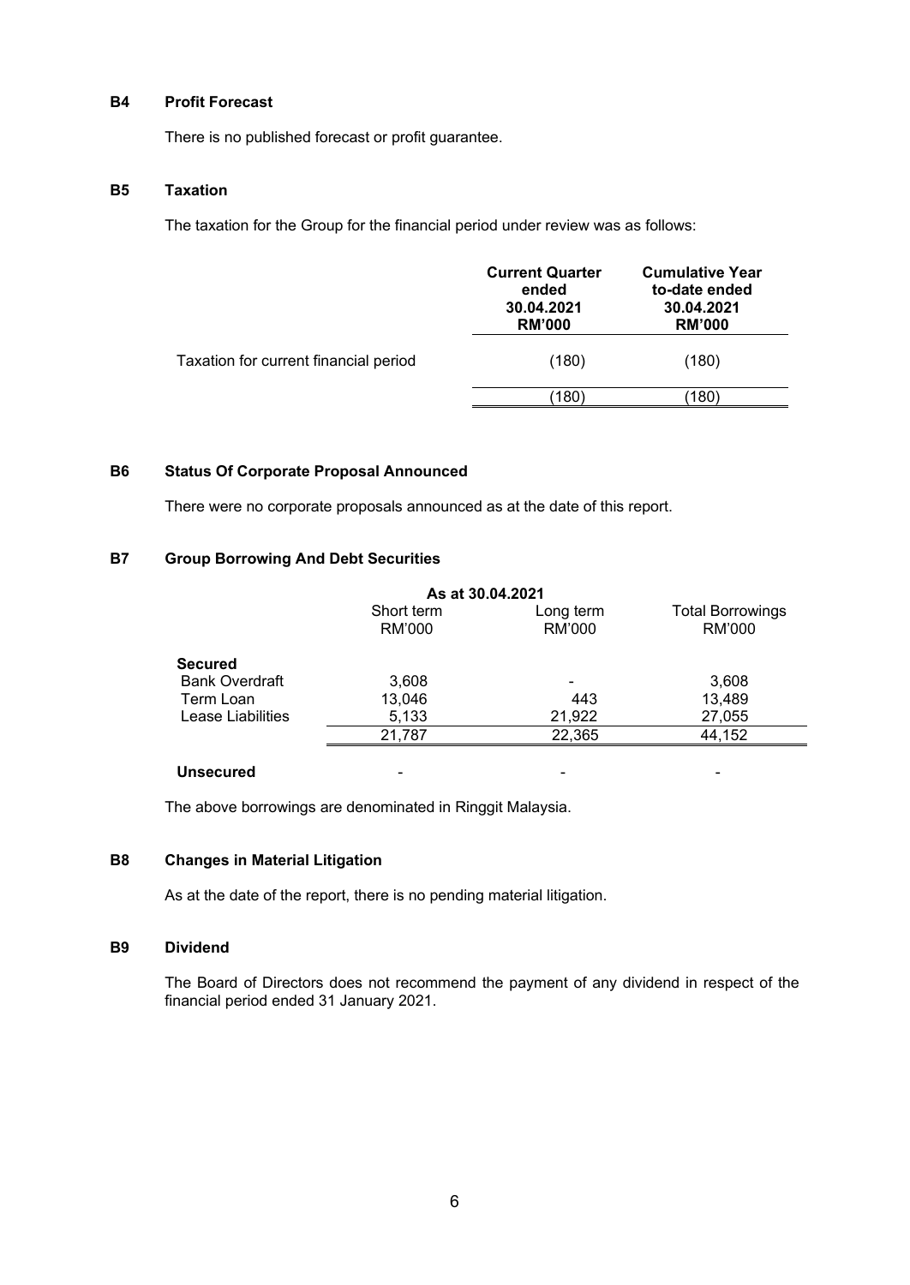## **B4 Profit Forecast**

There is no published forecast or profit guarantee.

#### **B5 Taxation**

The taxation for the Group for the financial period under review was as follows:

|                                       | <b>Current Quarter</b><br>ended<br>30.04.2021<br><b>RM'000</b> | <b>Cumulative Year</b><br>to-date ended<br>30.04.2021<br><b>RM'000</b> |
|---------------------------------------|----------------------------------------------------------------|------------------------------------------------------------------------|
| Taxation for current financial period | (180)                                                          | (180)                                                                  |
|                                       | 180                                                            | (180)                                                                  |

# **B6 Status Of Corporate Proposal Announced**

There were no corporate proposals announced as at the date of this report.

## **B7 Group Borrowing And Debt Securities**

|                       | As at 30.04.2021     |                     |                                   |
|-----------------------|----------------------|---------------------|-----------------------------------|
|                       | Short term<br>RM'000 | Long term<br>RM'000 | <b>Total Borrowings</b><br>RM'000 |
| <b>Secured</b>        |                      |                     |                                   |
| <b>Bank Overdraft</b> | 3,608                |                     | 3,608                             |
| Term Loan             | 13,046               | 443                 | 13,489                            |
| Lease Liabilities     | 5,133                | 21,922              | 27,055                            |
|                       | 21,787               | 22,365              | 44,152                            |
| <b>Unsecured</b>      |                      |                     |                                   |

The above borrowings are denominated in Ringgit Malaysia.

## **B8 Changes in Material Litigation**

As at the date of the report, there is no pending material litigation.

## **B9 Dividend**

The Board of Directors does not recommend the payment of any dividend in respect of the financial period ended 31 January 2021.